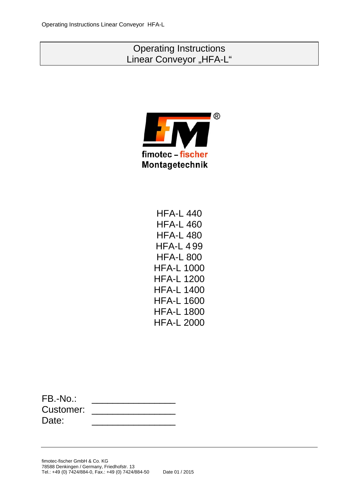## Operating Instructions Linear Conveyor "HFA-L"



HFA-L 440 HFA-L 460 HFA-L 480 HFA-L 4 99 HFA-L 800 HFA-L 1000 HFA-L 1200 HFA-L 1400 HFA-L 1600 HFA-L 1800 HFA-L 2000

| $FB.-No.$ |  |  |
|-----------|--|--|
| Customer: |  |  |
| Date:     |  |  |
|           |  |  |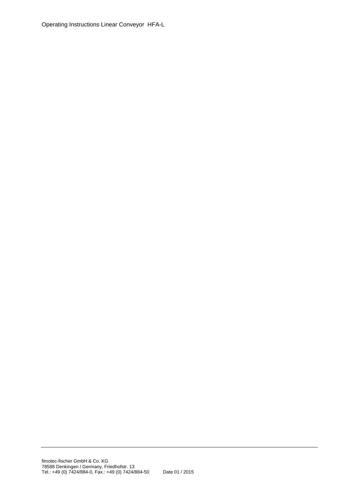Operating Instructions Linear Conveyor HFA-L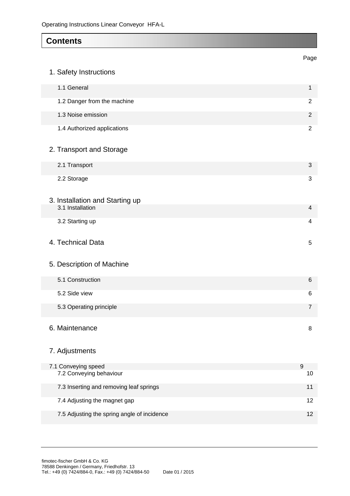## **Contents**

|                                                     | Page            |
|-----------------------------------------------------|-----------------|
| 1. Safety Instructions                              |                 |
| 1.1 General                                         | 1               |
| 1.2 Danger from the machine                         | $\overline{2}$  |
| 1.3 Noise emission                                  | 2               |
| 1.4 Authorized applications                         | 2               |
| 2. Transport and Storage                            |                 |
| 2.1 Transport                                       | 3               |
| 2.2 Storage                                         | 3               |
| 3. Installation and Starting up<br>3.1 Installation | $\overline{4}$  |
| 3.2 Starting up                                     | 4               |
|                                                     |                 |
| 4. Technical Data                                   | 5               |
| 5. Description of Machine                           |                 |
| 5.1 Construction                                    | $6\phantom{1}6$ |
| 5.2 Side view                                       | 6               |
| 5.3 Operating principle                             | $\overline{7}$  |
| 6. Maintenance                                      | 8               |
| 7. Adjustments                                      |                 |
| 7.1 Conveying speed<br>7.2 Conveying behaviour      | 9<br>10         |
| 7.3 Inserting and removing leaf springs             | 11              |
|                                                     |                 |
| 7.4 Adjusting the magnet gap                        | 12              |
| 7.5 Adjusting the spring angle of incidence         | 12              |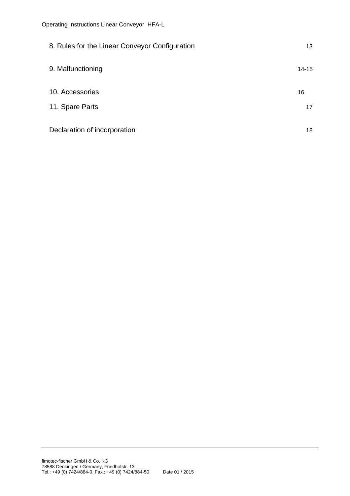| 8. Rules for the Linear Conveyor Configuration | 13        |
|------------------------------------------------|-----------|
| 9. Malfunctioning                              | $14 - 15$ |
| 10. Accessories                                | 16        |
| 11. Spare Parts                                | 17        |
| Declaration of incorporation                   | 18        |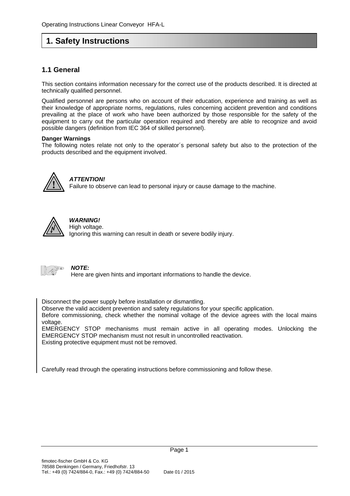## **1. Safety Instructions**

### **1.1 General**

This section contains information necessary for the correct use of the products described. It is directed at technically qualified personnel.

Qualified personnel are persons who on account of their education, experience and training as well as their knowledge of appropriate norms, regulations, rules concerning accident prevention and conditions prevailing at the place of work who have been authorized by those responsible for the safety of the equipment to carry out the particular operation required and thereby are able to recognize and avoid possible dangers (definition from IEC 364 of skilled personnel).

#### **Danger Warnings**

The following notes relate not only to the operator´s personal safety but also to the protection of the products described and the equipment involved.



### *ATTENTION!*

Failure to observe can lead to personal injury or cause damage to the machine.



### *WARNING!*

High voltage. Ignoring this warning can result in death or severe bodily injury.



#### *NOTE:*

Here are given hints and important informations to handle the device.

Disconnect the power supply before installation or dismantling.

Observe the valid accident prevention and safety regulations for your specific application.

Before commissioning, check whether the nominal voltage of the device agrees with the local mains voltage.

EMERGENCY STOP mechanisms must remain active in all operating modes. Unlocking the EMERGENCY STOP mechanism must not result in uncontrolled reactivation. Existing protective equipment must not be removed.

Carefully read through the operating instructions before commissioning and follow these.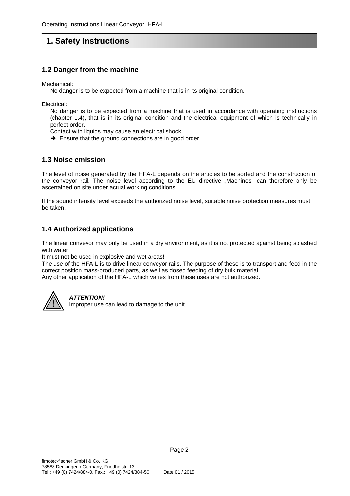## **1. Safety Instructions**

### **1.2 Danger from the machine**

Mechanical:

No danger is to be expected from a machine that is in its original condition.

Electrical:

No danger is to be expected from a machine that is used in accordance with operating instructions (chapter 1.4), that is in its original condition and the electrical equipment of which is technically in perfect order.

Contact with liquids may cause an electrical shock.

 $\rightarrow$  Ensure that the ground connections are in good order.

### **1.3 Noise emission**

The level of noise generated by the HFA-L depends on the articles to be sorted and the construction of the conveyor rail. The noise level according to the EU directive "Machines" can therefore only be ascertained on site under actual working conditions.

If the sound intensity level exceeds the authorized noise level, suitable noise protection measures must be taken.

### **1.4 Authorized applications**

The linear conveyor may only be used in a dry environment, as it is not protected against being splashed with water.

It must not be used in explosive and wet areas!

The use of the HFA-L is to drive linear conveyor rails. The purpose of these is to transport and feed in the correct position mass-produced parts, as well as dosed feeding of dry bulk material. Any other application of the HFA-L which varies from these uses are not authorized.



#### *ATTENTION!*

Improper use can lead to damage to the unit.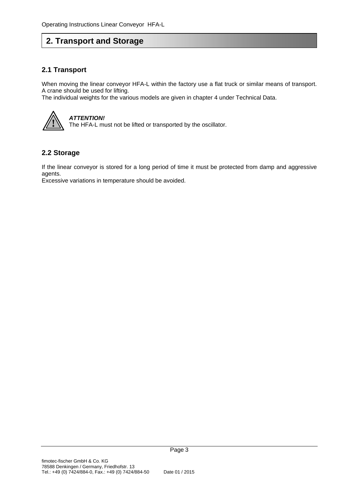## **2. Transport and Storage**

### **2.1 Transport**

When moving the linear conveyor HFA-L within the factory use a flat truck or similar means of transport. A crane should be used for lifting.

The individual weights for the various models are given in chapter 4 under Technical Data.



### *ATTENTION!*

The HFA-L must not be lifted or transported by the oscillator.

### **2.2 Storage**

If the linear conveyor is stored for a long period of time it must be protected from damp and aggressive agents.

Excessive variations in temperature should be avoided.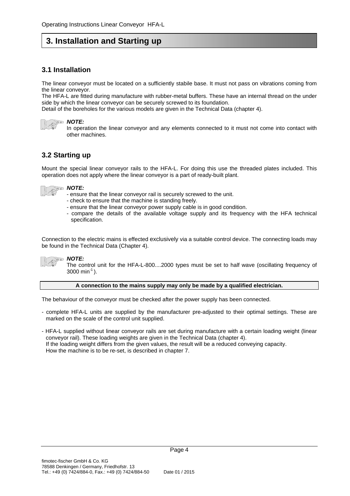## **3. Installation and Starting up**

### **3.1 Installation**

The linear conveyor must be located on a sufficiently stabile base. It must not pass on vibrations coming from the linear conveyor.

The HFA-L are fitted during manufacture with rubber-metal buffers. These have an internal thread on the under side by which the linear conveyor can be securely screwed to its foundation.

Detail of the boreholes for the various models are given in the Technical Data (chapter 4).



# *NOTE:*

In operation the linear conveyor and any elements connected to it must not come into contact with other machines.

### **3.2 Starting up**

Mount the special linear conveyor rails to the HFA-L. For doing this use the threaded plates included. This operation does not apply where the linear conveyor is a part of ready-built plant.



- *NOTE:* 
	- ensure that the linear conveyor rail is securely screwed to the unit.
	- check to ensure that the machine is standing freely.
	- ensure that the linear conveyor power supply cable is in good condition.
	- compare the details of the available voltage supply and its frequency with the HFA technical specification.

Connection to the electric mains is effected exclusively via a suitable control device. The connecting loads may be found in the Technical Data (Chapter 4).



#### *NOTE:*

The control unit for the HFA-L-800....2000 types must be set to half wave (oscillating frequency of  $3000 \text{ min}^{-1}$ ).

#### **A connection to the mains supply may only be made by a qualified electrician.**

The behaviour of the conveyor must be checked after the power supply has been connected.

- complete HFA-L units are supplied by the manufacturer pre-adjusted to their optimal settings. These are marked on the scale of the control unit supplied.
- HFA-L supplied without linear conveyor rails are set during manufacture with a certain loading weight (linear conveyor rail). These loading weights are given in the Technical Data (chapter 4). If the loading weight differs from the given values, the result will be a reduced conveying capacity. How the machine is to be re-set, is described in chapter 7.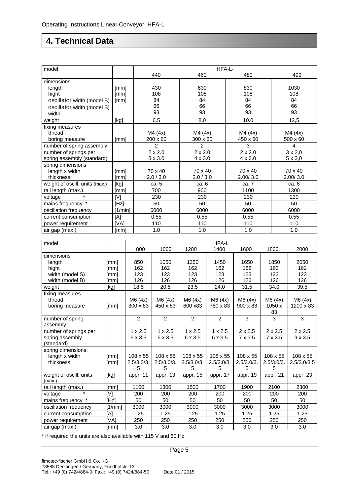## **4. Technical Data**

| model                          |         | HFA-L-         |                 |                |                |  |
|--------------------------------|---------|----------------|-----------------|----------------|----------------|--|
|                                |         | 440            | 460             | 480            | 499            |  |
| dimensions                     |         |                |                 |                |                |  |
| length                         | [mm]    | 430            | 630             | 830            | 1030           |  |
| hight                          | [mm]    | 108            | 108             | 108            | 108            |  |
| oscillator width (model B)     | [mm]    | 84             | 84              | 84             | 84             |  |
| oscillator width (model S)     |         | 66             | 66              | 66             | 66             |  |
| width                          |         | 93             | 93              | 93             | 93             |  |
| weight                         | [kg]    | 6.5            | 8.0             | 10.0           | 12,5           |  |
| fixing measures                |         |                |                 |                |                |  |
| thread                         |         | M4(4x)         | M4(4x)          | M4(4x)         | M4 (4x)        |  |
| boring measure                 | [mm]    | 200 x 60       | $300 \times 60$ | 450 x 60       | 500 x 60       |  |
| number of spring assembly      |         | $\overline{2}$ | 2               | 3              | 4              |  |
| number of springs per          |         | $2 \times 2.0$ | $2 \times 2.0$  | $2 \times 2.0$ | $3 \times 2,0$ |  |
| spring assembly (standard)     |         | $3 \times 3.0$ | 4 x 3.0         | $4 \times 3.0$ | $5 \times 3,0$ |  |
| spring dimensions              |         |                |                 |                |                |  |
| length x width                 | [mm]    | 70 x 40        | 70 x 40         | 70 x 40        | 70 x 40        |  |
| thickness                      | [mm]    | 2.0 / 3.0      | 2.0 / 3.0       | 2.00/3.0       | 2.00/3.0       |  |
| weight of oscill. units (max.) | [kg]    | ca. 5          | ca. 6           | ca. 7          | ca. 8          |  |
| rail length (max.)             | [mm]    | 700            | 900             | 1100           | 1300           |  |
| $\star$<br>voltage             | [V]     | 230            | 230             | 230            | 230            |  |
| mains frequency *              | [Hz]    | 50             | 50              | 50             | 50             |  |
| oscillation frequency          | [1/min] | 6000           | 6000            | 6000           | 6000           |  |
| current consumption            | [A]     | 0.55           | 0.55            | 0.55           | 0.55           |  |
| power requirement              | [VA]    | 110            | 110             | 110            | 110            |  |
| air gap (max.)                 | [mm]    | 1.0            | 1.0             | 1.0            | 1.0            |  |

| model                             |         |                 |                |                | HFA-L          |                 |                 |                 |
|-----------------------------------|---------|-----------------|----------------|----------------|----------------|-----------------|-----------------|-----------------|
|                                   |         | 800             | 1000           | 1200           | 1400           | 1600            | 1800            | 2000            |
| dimensions                        |         |                 |                |                |                |                 |                 |                 |
| length                            | [mm]    | 850             | 1050           | 1250           | 1450           | 1650            | 1850            | 2050            |
| hight                             | [mm]    | 162             | 162            | 162            | 162            | 162             | 162             | 162             |
| width (model S)                   | [mm]    | 123             | 123            | 123            | 123            | 123             | 123             | 123             |
| width (model B)                   | [mm]    | 126             | 126            | 126            | 126            | 126             | 126             | 126             |
| weight                            | [kg]    | 18.5            | 20.5           | 23.5           | 24.0           | 31.5            | 34.0            | 39.5            |
| fixing measures                   |         |                 |                |                |                |                 |                 |                 |
| thread                            |         | M6(4x)          | M6(4x)         | M6(4x)         | M6(4x)         | M6(4x)          | M6(4x)          | M6 (4x)         |
| boring measure                    | [mm]    | $300 \times 83$ | 450 x 83       | 600 x83        | 750 x 83       | $900 \times 83$ | 1050x           | 1200 x 83       |
|                                   |         |                 |                |                |                |                 | 83              |                 |
| number of spring                  |         | $\overline{2}$  | $\overline{2}$ | $\overline{2}$ | $\overline{2}$ | 3               | 3               | 3               |
| assembly                          |         |                 |                |                |                |                 |                 |                 |
| number of springs per             |         | $1 \times 2.5$  | $1 \times 2.5$ | $1 \times 2.5$ | $1 \times 2.5$ | $2 \times 2.5$  | $2 \times 2.5$  | $2 \times 2.5$  |
| spring assembly                   |         | $5 \times 3.5$  | $5 \times 3.5$ | 6 x 3.5        | 6 x 3.5        | $7 \times 3.5$  | $7 \times 3.5$  | $9 \times 3.5$  |
| (standard)                        |         |                 |                |                |                |                 |                 |                 |
| spring dimensions                 |         |                 |                |                |                |                 |                 |                 |
| length x width                    | [mm]    | $108 \times 55$ | 108 x 55       | 108 x 55       | 108 x 55       | 108 x 55        | $108 \times 55$ | $108 \times 55$ |
| thickness                         | [mm]    | 2.5/3.0/3.      | 2.5/3.0/3.     | 2.5/3.0/3.     | 2.5/3.0/3.     | 2.5/3.0/3.      | 2.5/3.0/3.      | 2.5/3.0/3.5     |
|                                   |         | 5               | 5              | 5              | 5              | 5               | 5               |                 |
| weight of oscill. units<br>(max.) | [kg]    | appr. 11        | appr. 13       | appr. 15       | appr. 17       | appr. 19        | appr. 21        | appr. 23        |
| rail length (max.)                | [mm]    | 1100            | 1300           | 1500           | 1700           | 1900            | 2100            | 2300            |
| $\star$<br>voltage                | [V]     | 200             | 200            | 200            | 200            | 200             | 200             | 200             |
| mains frequency *                 | [Hz]    | 50              | 50             | 50             | 50             | 50              | 50              | 50              |
| oscillation frequency             | [1/min] | 3000            | 3000           | 3000           | 3000           | 3000            | 3000            | 3000            |
| current consumption               | [A]     | 1.25            | 1.25           | 1.25           | 1.25           | 1.25            | 1.25            | 1.25            |
| power requirement                 | [VA]    | 250             | 250            | 250            | 250            | 250             | 250             | 250             |
| air gap (max.)                    | [mm]    | 3.0             | 3.0            | 3.0            | 3.0            | 3.0             | 3.0             | 3.0             |

\* if required the units are also available with 115 V and 60 Hz

Page 5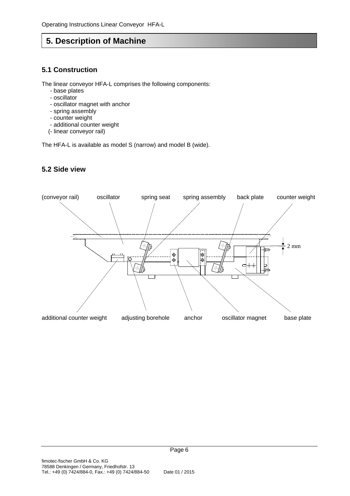## **5. Description of Machine**

### **5.1 Construction**

The linear conveyor HFA-L comprises the following components:

- base plates
- oscillator
- oscillator magnet with anchor
- spring assembly
- counter weight
- additional counter weight
- (- linear conveyor rail)

The HFA-L is available as model S (narrow) and model B (wide).

### **5.2 Side view**

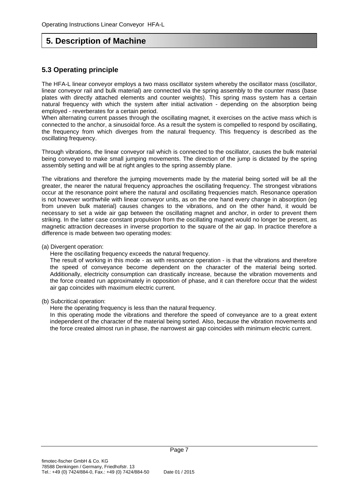## **5. Description of Machine**

### **5.3 Operating principle**

The HFA-L linear conveyor employs a two mass oscillator system whereby the oscillator mass (oscillator, linear conveyor rail and bulk material) are connected via the spring assembly to the counter mass (base plates with directly attached elements and counter weights). This spring mass system has a certain natural frequency with which the system after initial activation - depending on the absorption being employed - reverberates for a certain period.

When alternating current passes through the oscillating magnet, it exercises on the active mass which is connected to the anchor, a sinusoidal force. As a result the system is compelled to respond by oscillating, the frequency from which diverges from the natural frequency. This frequency is described as the oscillating frequency.

Through vibrations, the linear conveyor rail which is connected to the oscillator, causes the bulk material being conveyed to make small jumping movements. The direction of the jump is dictated by the spring assembly setting and will be at right angles to the spring assembly plane.

The vibrations and therefore the jumping movements made by the material being sorted will be all the greater, the nearer the natural frequency approaches the oscillating frequency. The strongest vibrations occur at the resonance point where the natural and oscillating frequencies match. Resonance operation is not however worthwhile with linear conveyor units, as on the one hand every change in absorption (eg from uneven bulk material) causes changes to the vibrations, and on the other hand, it would be necessary to set a wide air gap between the oscillating magnet and anchor, in order to prevent them striking. In the latter case constant propulsion from the oscillating magnet would no longer be present, as magnetic attraction decreases in inverse proportion to the square of the air gap. In practice therefore a difference is made between two operating modes:

#### (a) Divergent operation:

Here the oscillating frequency exceeds the natural frequency.

The result of working in this mode - as with resonance operation - is that the vibrations and therefore the speed of conveyance become dependent on the character of the material being sorted. Additionally, electricity consumption can drastically increase, because the vibration movements and the force created run approximately in opposition of phase, and it can therefore occur that the widest air gap coincides with maximum electric current.

#### (b) Subcritical operation:

Here the operating frequency is less than the natural frequency.

In this operating mode the vibrations and therefore the speed of conveyance are to a great extent independent of the character of the material being sorted. Also, because the vibration movements and the force created almost run in phase, the narrowest air gap coincides with minimum electric current.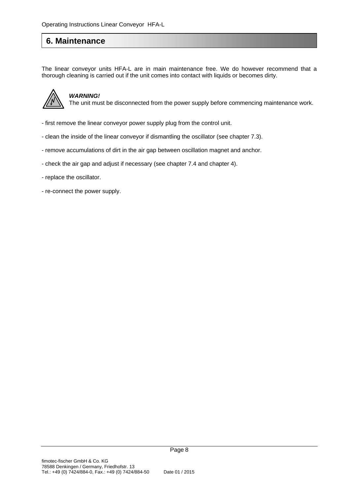## **6. Maintenance**

The linear conveyor units HFA-L are in main maintenance free. We do however recommend that a thorough cleaning is carried out if the unit comes into contact with liquids or becomes dirty.



#### *WARNING!*

The unit must be disconnected from the power supply before commencing maintenance work.

- first remove the linear conveyor power supply plug from the control unit.
- clean the inside of the linear conveyor if dismantling the oscillator (see chapter 7.3).
- remove accumulations of dirt in the air gap between oscillation magnet and anchor.
- check the air gap and adjust if necessary (see chapter 7.4 and chapter 4).
- replace the oscillator.
- re-connect the power supply.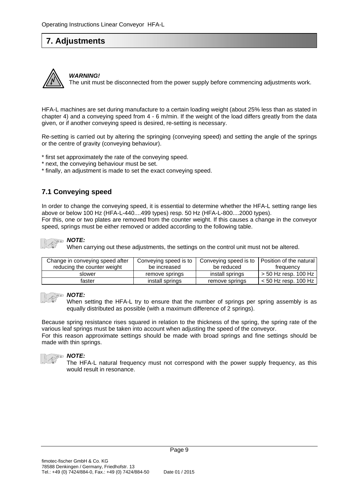

*WARNING!* The unit must be disconnected from the power supply before commencing adjustments work.

HFA-L machines are set during manufacture to a certain loading weight (about 25% less than as stated in chapter 4) and a conveying speed from 4 - 6 m/min. If the weight of the load differs greatly from the data given, or if another conveying speed is desired, re-setting is necessary.

Re-setting is carried out by altering the springing (conveying speed) and setting the angle of the springs or the centre of gravity (conveying behaviour).

- \* first set approximately the rate of the conveying speed.
- \* next, the conveying behaviour must be set.
- \* finally, an adjustment is made to set the exact conveying speed.

### **7.1 Conveying speed**

In order to change the conveying speed, it is essential to determine whether the HFA-L setting range lies above or below 100 Hz (HFA-L-440....499 types) resp. 50 Hz (HFA-L-800....2000 types). For this, one or two plates are removed from the counter weight. If this causes a change in the conveyor speed, springs must be either removed or added according to the following table.



When carrying out these adjustments, the settings on the control unit must not be altered.

| Change in conveying speed after | Conveying speed is to | Conveying speed is to | Position of the natural      |
|---------------------------------|-----------------------|-----------------------|------------------------------|
| reducing the counter weight     | be increased          | be reduced            | treauency                    |
| slower                          | remove springs        | install springs       | $\approx$ 50 Hz resp. 100 Hz |
| faster                          | install springs       | remove springs        | $<$ 50 Hz resp. 100 Hz       |

# *AND NOTE:*

When setting the HFA-L try to ensure that the number of springs per spring assembly is as equally distributed as possible (with a maximum difference of 2 springs).

Because spring resistance rises squared in relation to the thickness of the spring, the spring rate of the various leaf springs must be taken into account when adjusting the speed of the conveyor. For this reason approximate settings should be made with broad springs and fine settings should be made with thin springs.



#### *NOTE:*

The HFA-L natural frequency must not correspond with the power supply frequency, as this would result in resonance.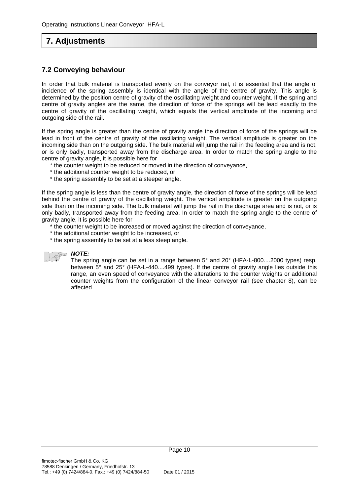### **7.2 Conveying behaviour**

In order that bulk material is transported evenly on the conveyor rail, it is essential that the angle of incidence of the spring assembly is identical with the angle of the centre of gravity. This angle is determined by the position centre of gravity of the oscillating weight and counter weight. If the spring and centre of gravity angles are the same, the direction of force of the springs will be lead exactly to the centre of gravity of the oscillating weight, which equals the vertical amplitude of the incoming and outgoing side of the rail.

If the spring angle is greater than the centre of gravity angle the direction of force of the springs will be lead in front of the centre of gravity of the oscillating weight. The vertical amplitude is greater on the incoming side than on the outgoing side. The bulk material will jump the rail in the feeding area and is not, or is only badly, transported away from the discharge area. In order to match the spring angle to the centre of gravity angle, it is possible here for

- \* the counter weight to be reduced or moved in the direction of conveyance,
- \* the additional counter weight to be reduced, or
- \* the spring assembly to be set at a steeper angle.

If the spring angle is less than the centre of gravity angle, the direction of force of the springs will be lead behind the centre of gravity of the oscillating weight. The vertical amplitude is greater on the outgoing side than on the incoming side. The bulk material will jump the rail in the discharge area and is not, or is only badly, transported away from the feeding area. In order to match the spring angle to the centre of gravity angle, it is possible here for

- \* the counter weight to be increased or moved against the direction of conveyance,
- \* the additional counter weight to be increased, or
- \* the spring assembly to be set at a less steep angle.

# *NOTE:*

The spring angle can be set in a range between  $5^\circ$  and  $20^\circ$  (HFA-L-800....2000 types) resp. between 5° and 25° (HFA-L-440....499 types). If the centre of gravity angle lies outside this range, an even speed of conveyance with the alterations to the counter weights or additional counter weights from the configuration of the linear conveyor rail (see chapter 8), can be affected.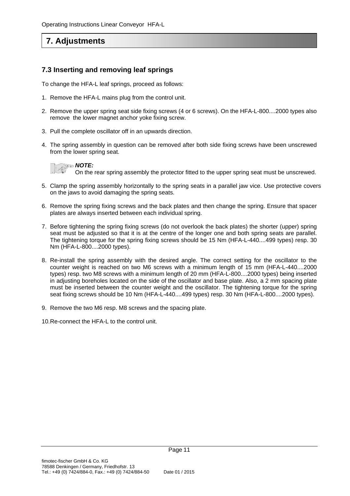### **7.3 Inserting and removing leaf springs**

To change the HFA-L leaf springs, proceed as follows:

- 1. Remove the HFA-L mains plug from the control unit.
- 2. Remove the upper spring seat side fixing screws (4 or 6 screws). On the HFA-L-800....2000 types also remove the lower magnet anchor yoke fixing screw.
- 3. Pull the complete oscillator off in an upwards direction.
- 4. The spring assembly in question can be removed after both side fixing screws have been unscrewed from the lower spring seat.



On the rear spring assembly the protector fitted to the upper spring seat must be unscrewed.

- 5. Clamp the spring assembly horizontally to the spring seats in a parallel jaw vice. Use protective covers on the jaws to avoid damaging the spring seats.
- 6. Remove the spring fixing screws and the back plates and then change the spring. Ensure that spacer plates are always inserted between each individual spring.
- 7. Before tightening the spring fixing screws (do not overlook the back plates) the shorter (upper) spring seat must be adjusted so that it is at the centre of the longer one and both spring seats are parallel. The tightening torque for the spring fixing screws should be 15 Nm (HFA-L-440....499 types) resp. 30 Nm (HFA-L-800....2000 types).
- 8. Re-install the spring assembly with the desired angle. The correct setting for the oscillator to the counter weight is reached on two M6 screws with a minimum length of 15 mm (HFA-L-440....2000 types) resp. two M8 screws with a minimum length of 20 mm (HFA-L-800....2000 types) being inserted in adjusting boreholes located on the side of the oscillator and base plate. Also, a 2 mm spacing plate must be inserted between the counter weight and the oscillator. The tightening torque for the spring seat fixing screws should be 10 Nm (HFA-L-440....499 types) resp. 30 Nm (HFA-L-800....2000 types).
- 9. Remove the two M6 resp. M8 screws and the spacing plate.

10. Re-connect the HFA-L to the control unit.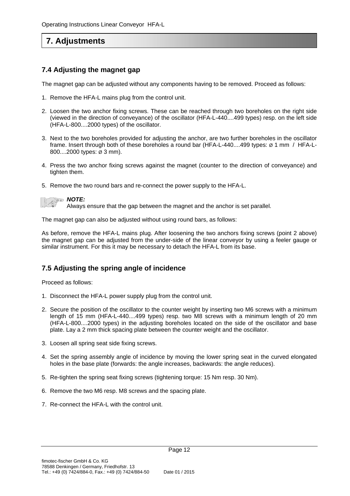### **7.4 Adjusting the magnet gap**

The magnet gap can be adjusted without any components having to be removed. Proceed as follows:

- 1. Remove the HFA-L mains plug from the control unit.
- 2. Loosen the two anchor fixing screws. These can be reached through two boreholes on the right side (viewed in the direction of conveyance) of the oscillator (HFA-L-440....499 types) resp. on the left side (HFA-L-800....2000 types) of the oscillator.
- 3. Next to the two boreholes provided for adjusting the anchor, are two further boreholes in the oscillator frame. Insert through both of these boreholes a round bar (HFA-L-440....499 types: Ø 1 mm / HFA-L-800....2000 types: Ø 3 mm).
- 4. Press the two anchor fixing screws against the magnet (counter to the direction of conveyance) and tighten them.
- 5. Remove the two round bars and re-connect the power supply to the HFA-L.



Always ensure that the gap between the magnet and the anchor is set parallel.

The magnet gap can also be adjusted without using round bars, as follows:

As before, remove the HFA-L mains plug. After loosening the two anchors fixing screws (point 2 above) the magnet gap can be adjusted from the under-side of the linear conveyor by using a feeler gauge or similar instrument. For this it may be necessary to detach the HFA-L from its base.

### **7.5 Adjusting the spring angle of incidence**

Proceed as follows:

- 1. Disconnect the HFA-L power supply plug from the control unit.
- 2. Secure the position of the oscillator to the counter weight by inserting two M6 screws with a minimum length of 15 mm (HFA-L-440....499 types) resp. two M8 screws with a minimum length of 20 mm (HFA-L-800....2000 types) in the adjusting boreholes located on the side of the oscillator and base plate. Lay a 2 mm thick spacing plate between the counter weight and the oscillator.
- 3. Loosen all spring seat side fixing screws.
- 4. Set the spring assembly angle of incidence by moving the lower spring seat in the curved elongated holes in the base plate (forwards: the angle increases, backwards: the angle reduces).
- 5. Re-tighten the spring seat fixing screws (tightening torque: 15 Nm resp. 30 Nm).
- 6. Remove the two M6 resp. M8 screws and the spacing plate.
- 7. Re-connect the HFA-L with the control unit.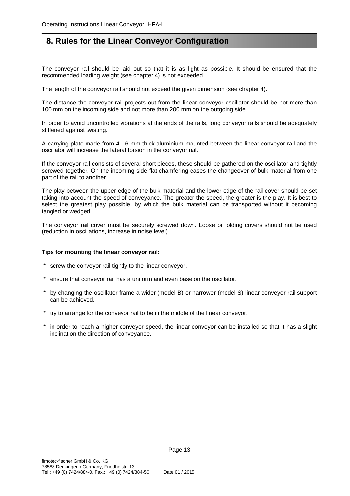## **8. Rules for the Linear Conveyor Configuration**

The conveyor rail should be laid out so that it is as light as possible. It should be ensured that the recommended loading weight (see chapter 4) is not exceeded.

The length of the conveyor rail should not exceed the given dimension (see chapter 4).

The distance the conveyor rail projects out from the linear conveyor oscillator should be not more than 100 mm on the incoming side and not more than 200 mm on the outgoing side.

In order to avoid uncontrolled vibrations at the ends of the rails, long conveyor rails should be adequately stiffened against twisting.

A carrying plate made from 4 - 6 mm thick aluminium mounted between the linear conveyor rail and the oscillator will increase the lateral torsion in the conveyor rail.

If the conveyor rail consists of several short pieces, these should be gathered on the oscillator and tightly screwed together. On the incoming side flat chamfering eases the changeover of bulk material from one part of the rail to another.

The play between the upper edge of the bulk material and the lower edge of the rail cover should be set taking into account the speed of conveyance. The greater the speed, the greater is the play. It is best to select the greatest play possible, by which the bulk material can be transported without it becoming tangled or wedged.

The conveyor rail cover must be securely screwed down. Loose or folding covers should not be used (reduction in oscillations, increase in noise level).

#### **Tips for mounting the linear conveyor rail:**

- \* screw the conveyor rail tightly to the linear conveyor.
- \* ensure that conveyor rail has a uniform and even base on the oscillator.
- \* by changing the oscillator frame a wider (model B) or narrower (model S) linear conveyor rail support can be achieved.
- try to arrange for the conveyor rail to be in the middle of the linear conveyor.
- in order to reach a higher conveyor speed, the linear conveyor can be installed so that it has a slight inclination the direction of conveyance.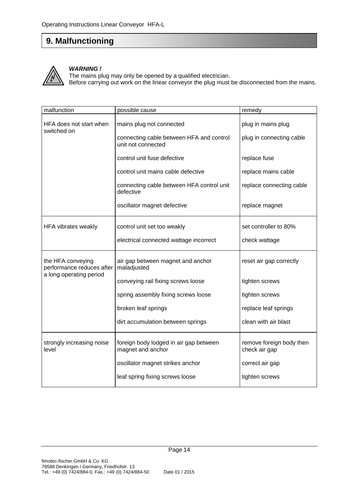## **9. Malfunctioning**



#### *WARNING !*

The mains plug may only be opened by a qualified electrician. Before carrying out work on the linear conveyor the plug must be disconnected from the mains.

| malfunction                                                               | possible cause                                                 | remedy                                    |
|---------------------------------------------------------------------------|----------------------------------------------------------------|-------------------------------------------|
| HFA does not start when<br>switched on                                    | mains plug not connected                                       | plug in mains plug                        |
|                                                                           | connecting cable between HFA and control<br>unit not connected | plug in connecting cable                  |
|                                                                           | control unit fuse defective                                    | replace fuse                              |
|                                                                           | control unit mains cable defective                             | replace mains cable                       |
|                                                                           | connecting cable between HFA control unit<br>defective         | replace connecting cable                  |
|                                                                           | oscillator magnet defective                                    | replace magnet                            |
| HFA vibrates weakly                                                       | control unit set too weakly                                    | set controller to 80%                     |
|                                                                           | electrical connected wattage incorrect                         | check wattage                             |
| the HFA conveying<br>performance reduces after<br>a long operating period | air gap between magnet and anchor<br>maladjusted               | reset air gap correctly                   |
|                                                                           | conveying rail fixing screws loose                             | tighten screws                            |
|                                                                           | spring assembly fixing screws loose                            | tighten screws                            |
|                                                                           | broken leaf springs                                            | replace leaf springs                      |
|                                                                           | dirt accumulation between springs                              | clean with air blast                      |
| strongly increasing noise<br>level                                        | foreign body lodged in air gap between<br>magnet and anchor    | remove foreign body then<br>check air gap |
|                                                                           | oscillator magnet strikes anchor                               | correct air gap                           |
|                                                                           | leaf spring fixing screws loose                                | tighten screws                            |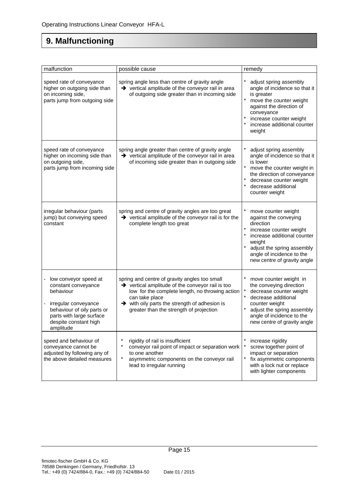## **9. Malfunctioning**

| malfunction                                                                                                                                                                       | possible cause                                                                                                                                                                                                                                                                 | remedy                                                                                                                                                                                                                  |
|-----------------------------------------------------------------------------------------------------------------------------------------------------------------------------------|--------------------------------------------------------------------------------------------------------------------------------------------------------------------------------------------------------------------------------------------------------------------------------|-------------------------------------------------------------------------------------------------------------------------------------------------------------------------------------------------------------------------|
| speed rate of conveyance<br>higher on outgoing side than<br>on incoming side,<br>parts jump from outgoing side                                                                    | spring angle less than centre of gravity angle<br>State vertical amplitude of the conveyor rail in area<br>of outgoing side greater than in incoming side                                                                                                                      | adjust spring assembly<br>angle of incidence so that it<br>is greater<br>move the counter weight<br>against the direction of<br>conveyance<br>increase counter weight<br>increase additional counter<br>weight          |
| speed rate of conveyance<br>higher on incoming side than<br>on outgoing side,<br>parts jump from incoming side                                                                    | spring angle greater than centre of gravity angle<br>→ vertical amplitude of the conveyor rail in area<br>of incoming side greater than in outgoing side                                                                                                                       | adjust spring assembly<br>angle of incidence so that it<br>is lower<br>move the counter weight in<br>the direction of conveyance<br>decrease counter weight<br>decrease additional<br>counter weight                    |
| irregular behaviour (parts<br>jump) but conveying speed<br>constant                                                                                                               | spring and centre of gravity angles are too great<br>$\rightarrow$ vertical amplitude of the conveyor rail is for the<br>complete length too great                                                                                                                             | move counter weight<br>against the conveying<br>direction<br>increase counter weight<br>increase additional counter<br>weight<br>adjust the spring assembly<br>angle of incidence to the<br>new centre of gravity angle |
| low conveyor speed at<br>constant conveyance<br>behaviour<br>irregular conveyance<br>behaviour of oily parts or<br>parts with large surface<br>despite constant high<br>amplitude | spring and centre of gravity angles too small<br>$\rightarrow$ vertical amplitude of the conveyor rail is too<br>low for the complete length, no throwing action<br>can take place<br>→ with oily parts the strength of adhesion is<br>greater than the strength of projection | move counter weight in<br>the conveying direction<br>decrease counter weight<br>decrease additional<br>counter weight<br>adjust the spring assembly<br>angle of incidence to the<br>new centre of gravity angle         |
| speed and behaviour of<br>conveyance cannot be<br>adjusted by following any of<br>the above detailed measures                                                                     | rigidity of rail is insufficient<br>conveyor rail point of impact or separation work<br>to one another<br>$\star$<br>asymmetric components on the conveyor rail<br>lead to irregular running                                                                                   | increase rigidity<br>screw together point of<br>impact or separation<br>fix asymmetric components<br>with a lock nut or replace<br>with lighter components                                                              |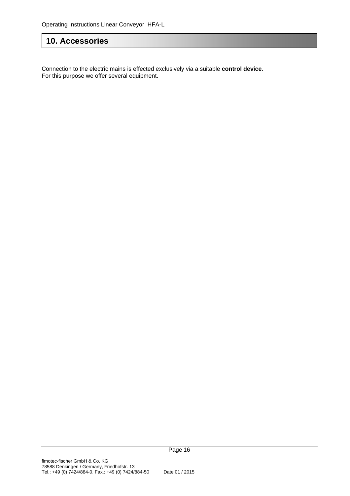## **10. Accessories**

Connection to the electric mains is effected exclusively via a suitable **control device**. For this purpose we offer several equipment.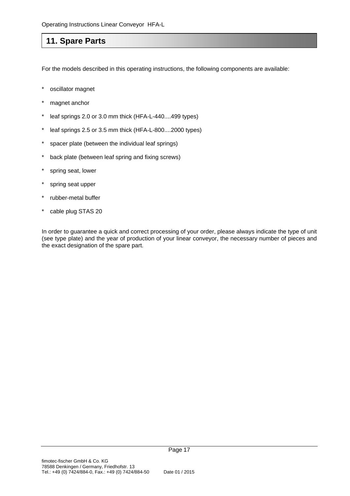## **11. Spare Parts**

For the models described in this operating instructions, the following components are available:

- oscillator magnet
- magnet anchor
- leaf springs 2.0 or 3.0 mm thick (HFA-L-440....499 types)
- leaf springs 2.5 or 3.5 mm thick (HFA-L-800....2000 types)
- spacer plate (between the individual leaf springs)
- back plate (between leaf spring and fixing screws)
- spring seat, lower
- spring seat upper
- rubber-metal buffer
- cable plug STAS 20

In order to guarantee a quick and correct processing of your order, please always indicate the type of unit (see type plate) and the year of production of your linear conveyor, the necessary number of pieces and the exact designation of the spare part.